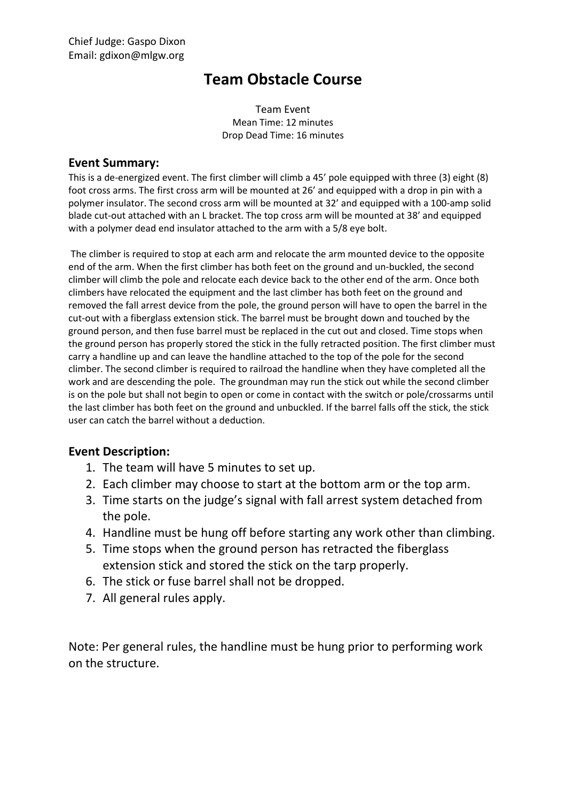## **Team Obstacle Course**

Team Event Mean Time: 12 minutes Drop Dead Time: 16 minutes

## **Event Summary:**

This is a de-energized event. The first climber will climb a 45' pole equipped with three (3) eight (8) foot cross arms. The first cross arm will be mounted at 26' and equipped with a drop in pin with a polymer insulator. The second cross arm will be mounted at 32' and equipped with a 100-amp solid blade cut-out attached with an L bracket. The top cross arm will be mounted at 38' and equipped with a polymer dead end insulator attached to the arm with a 5/8 eye bolt.

The climber is required to stop at each arm and relocate the arm mounted device to the opposite end of the arm. When the first climber has both feet on the ground and un-buckled, the second climber will climb the pole and relocate each device back to the other end of the arm. Once both climbers have relocated the equipment and the last climber has both feet on the ground and removed the fall arrest device from the pole, the ground person will have to open the barrel in the cut-out with a fiberglass extension stick. The barrel must be brought down and touched by the ground person, and then fuse barrel must be replaced in the cut out and closed. Time stops when the ground person has properly stored the stick in the fully retracted position. The first climber must carry a handline up and can leave the handline attached to the top of the pole for the second climber. The second climber is required to railroad the handline when they have completed all the work and are descending the pole. The groundman may run the stick out while the second climber is on the pole but shall not begin to open or come in contact with the switch or pole/crossarms until the last climber has both feet on the ground and unbuckled. If the barrel falls off the stick, the stick user can catch the barrel without a deduction.

## **Event Description:**

- 1. The team will have 5 minutes to set up.
- 2. Each climber may choose to start at the bottom arm or the top arm.
- 3. Time starts on the judge's signal with fall arrest system detached from the pole.
- 4. Handline must be hung off before starting any work other than climbing.
- 5. Time stops when the ground person has retracted the fiberglass extension stick and stored the stick on the tarp properly.
- 6. The stick or fuse barrel shall not be dropped.
- 7. All general rules apply.

Note: Per general rules, the handline must be hung prior to performing work on the structure.